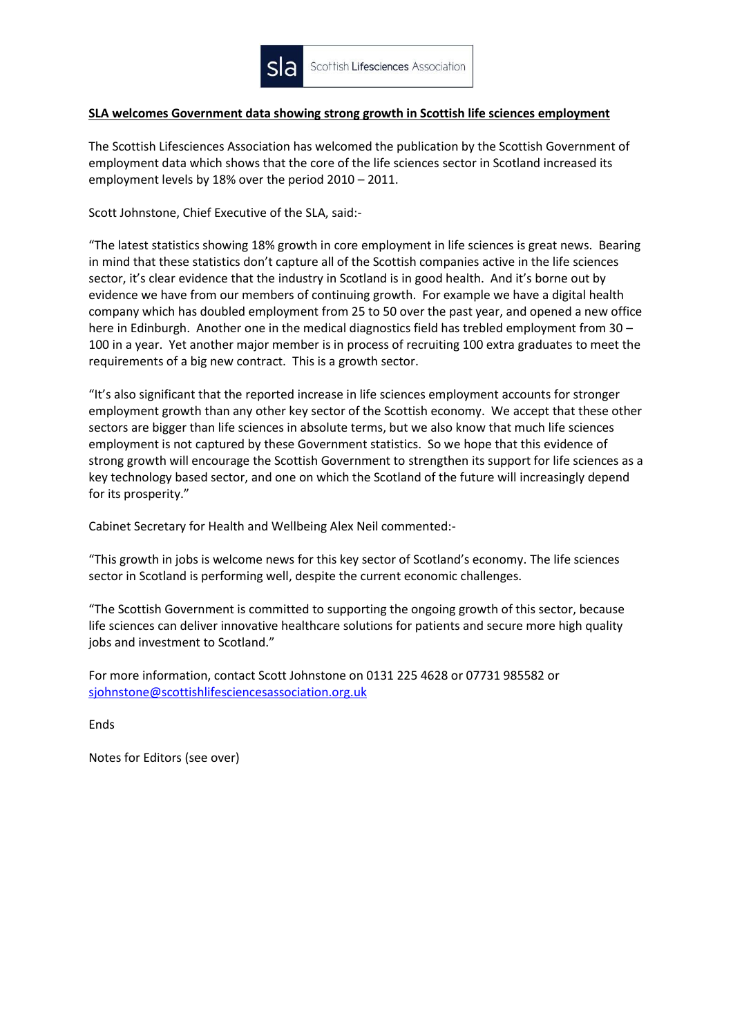

## **SLA welcomes Government data showing strong growth in Scottish life sciences employment**

The Scottish Lifesciences Association has welcomed the publication by the Scottish Government of employment data which shows that the core of the life sciences sector in Scotland increased its employment levels by 18% over the period 2010 – 2011.

Scott Johnstone, Chief Executive of the SLA, said:-

"The latest statistics showing 18% growth in core employment in life sciences is great news. Bearing in mind that these statistics don't capture all of the Scottish companies active in the life sciences sector, it's clear evidence that the industry in Scotland is in good health. And it's borne out by evidence we have from our members of continuing growth. For example we have a digital health company which has doubled employment from 25 to 50 over the past year, and opened a new office here in Edinburgh. Another one in the medical diagnostics field has trebled employment from 30 – 100 in a year. Yet another major member is in process of recruiting 100 extra graduates to meet the requirements of a big new contract. This is a growth sector.

"It's also significant that the reported increase in life sciences employment accounts for stronger employment growth than any other key sector of the Scottish economy. We accept that these other sectors are bigger than life sciences in absolute terms, but we also know that much life sciences employment is not captured by these Government statistics. So we hope that this evidence of strong growth will encourage the Scottish Government to strengthen its support for life sciences as a key technology based sector, and one on which the Scotland of the future will increasingly depend for its prosperity."

Cabinet Secretary for Health and Wellbeing Alex Neil commented:-

"This growth in jobs is welcome news for this key sector of Scotland's economy. The life sciences sector in Scotland is performing well, despite the current economic challenges.

"The Scottish Government is committed to supporting the ongoing growth of this sector, because life sciences can deliver innovative healthcare solutions for patients and secure more high quality jobs and investment to Scotland."

For more information, contact Scott Johnstone on 0131 225 4628 or 07731 985582 or [sjohnstone@scottishlifesciencesassociation.org.uk](mailto:sjohnstone@scottishlifesciencesassociation.org.uk)

Ends

Notes for Editors (see over)